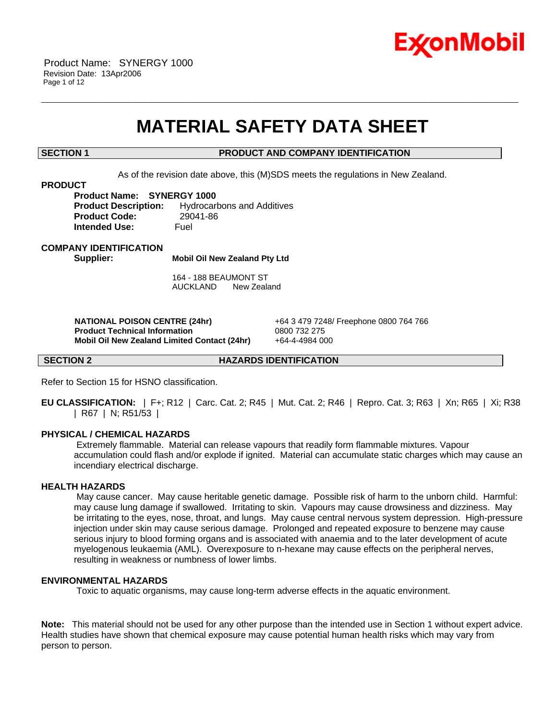

# **MATERIAL SAFETY DATA SHEET**

\_\_\_\_\_\_\_\_\_\_\_\_\_\_\_\_\_\_\_\_\_\_\_\_\_\_\_\_\_\_\_\_\_\_\_\_\_\_\_\_\_\_\_\_\_\_\_\_\_\_\_\_\_\_\_\_\_\_\_\_\_\_\_\_\_\_\_\_\_\_\_\_\_\_\_\_\_\_\_\_\_\_\_\_\_\_\_\_\_\_\_\_\_\_\_\_\_\_\_\_\_\_\_\_\_\_\_\_\_\_\_\_\_\_\_\_\_\_

### **SECTION 1 PRODUCT AND COMPANY IDENTIFICATION**

As of the revision date above, this (M)SDS meets the regulations in New Zealand.

### **PRODUCT**

**Product Name: SYNERGY 1000 Product Description:** Hydrocarbons and Additives **Product Code:** 29041-86 **Intended Use:** Fuel

#### **COMPANY IDENTIFICATION**

**Supplier: Mobil Oil New Zealand Pty Ltd**

164 - 188 BEAUMONT ST AUCKLAND New Zealand

 **NATIONAL POISON CENTRE (24hr)** +64 3 479 7248/ Freephone 0800 764 766  **Product Technical Information** 0800 732 275  **Mobil Oil New Zealand Limited Contact (24hr)** +64-4-4984 000

**SECTION 2 HAZARDS IDENTIFICATION**

Refer to Section 15 for HSNO classification.

**EU CLASSIFICATION:** | F+; R12 | Carc. Cat. 2; R45 | Mut. Cat. 2; R46 | Repro. Cat. 3; R63 | Xn; R65 | Xi; R38 | R67 | N; R51/53 |

#### **PHYSICAL / CHEMICAL HAZARDS**

 Extremely flammable. Material can release vapours that readily form flammable mixtures. Vapour accumulation could flash and/or explode if ignited. Material can accumulate static charges which may cause an incendiary electrical discharge.

# **HEALTH HAZARDS**

 May cause cancer. May cause heritable genetic damage. Possible risk of harm to the unborn child. Harmful: may cause lung damage if swallowed. Irritating to skin. Vapours may cause drowsiness and dizziness. May be irritating to the eyes, nose, throat, and lungs. May cause central nervous system depression. High-pressure injection under skin may cause serious damage. Prolonged and repeated exposure to benzene may cause serious injury to blood forming organs and is associated with anaemia and to the later development of acute myelogenous leukaemia (AML). Overexposure to n-hexane may cause effects on the peripheral nerves, resulting in weakness or numbness of lower limbs.

# **ENVIRONMENTAL HAZARDS**

Toxic to aquatic organisms, may cause long-term adverse effects in the aquatic environment.

**Note:** This material should not be used for any other purpose than the intended use in Section 1 without expert advice. Health studies have shown that chemical exposure may cause potential human health risks which may vary from person to person.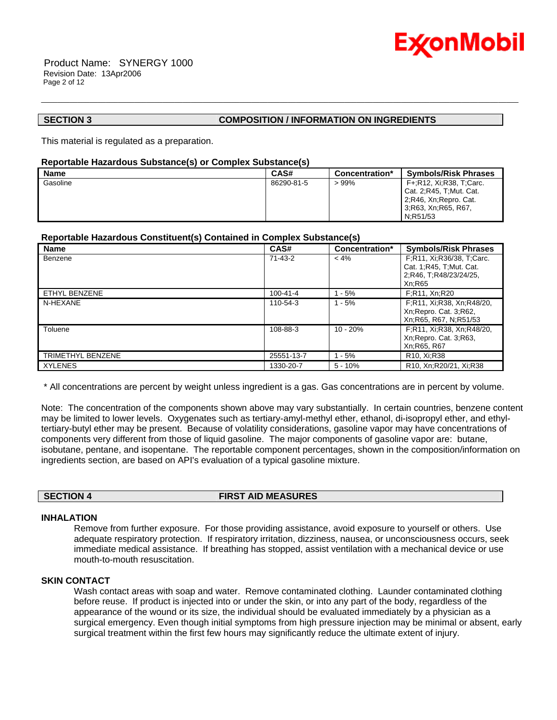

 Product Name: SYNERGY 1000 Revision Date: 13Apr2006 Page 2 of 12

# **SECTION 3 COMPOSITION / INFORMATION ON INGREDIENTS**

This material is regulated as a preparation.

# **Reportable Hazardous Substance(s) or Complex Substance(s)**

| <b>Name</b> | CAS#       | Concentration* | <b>Symbols/Risk Phrases</b>                                                                            |
|-------------|------------|----------------|--------------------------------------------------------------------------------------------------------|
| Gasoline    | 86290-81-5 | $>99\%$        | F+:R12, Xi:R38, T:Carc.<br>Cat. 2; R45, T; Mut. Cat.<br>2, R46, Xn, Repro. Cat.<br>3;R63, Xn;R65, R67, |
|             |            |                | N:R51/53                                                                                               |

\_\_\_\_\_\_\_\_\_\_\_\_\_\_\_\_\_\_\_\_\_\_\_\_\_\_\_\_\_\_\_\_\_\_\_\_\_\_\_\_\_\_\_\_\_\_\_\_\_\_\_\_\_\_\_\_\_\_\_\_\_\_\_\_\_\_\_\_\_\_\_\_\_\_\_\_\_\_\_\_\_\_\_\_\_\_\_\_\_\_\_\_\_\_\_\_\_\_\_\_\_\_\_\_\_\_\_\_\_\_\_\_\_\_\_\_\_\_

# **Reportable Hazardous Constituent(s) Contained in Complex Substance(s)**

| <b>Name</b>       | CAS#           | Concentration* | <b>Symbols/Risk Phrases</b>                                                                |
|-------------------|----------------|----------------|--------------------------------------------------------------------------------------------|
| Benzene           | $71-43-2$      | $< 4\%$        | F;R11, Xi;R36/38, T;Carc.<br>Cat. 1; R45, T; Mut. Cat.<br>2;R46, T;R48/23/24/25,<br>Xn:R65 |
| ETHYL BENZENE     | $100 - 41 - 4$ | ∣-5%           | F;R11, Xn;R20                                                                              |
| N-HEXANE          | 110-54-3       | $1 - 5%$       | F;R11, Xi;R38, Xn;R48/20,<br>Xn; Repro. Cat. 3; R62,<br>Xn; R65, R67, N; R51/53            |
| Toluene           | 108-88-3       | $10 - 20%$     | F;R11, Xi;R38, Xn;R48/20,<br>Xn; Repro. Cat. 3; R63,<br>Xn:R65, R67                        |
| TRIMETHYL BENZENE | 25551-13-7     | $1 - 5%$       | R <sub>10</sub> , Xi;R <sub>38</sub>                                                       |
| <b>XYLENES</b>    | 1330-20-7      | $5 - 10%$      | R <sub>10</sub> , Xn:R <sub>20</sub> /21, Xi:R <sub>38</sub>                               |

\* All concentrations are percent by weight unless ingredient is a gas. Gas concentrations are in percent by volume.

Note: The concentration of the components shown above may vary substantially. In certain countries, benzene content may be limited to lower levels. Oxygenates such as tertiary-amyl-methyl ether, ethanol, di-isopropyl ether, and ethyltertiary-butyl ether may be present. Because of volatility considerations, gasoline vapor may have concentrations of components very different from those of liquid gasoline. The major components of gasoline vapor are: butane, isobutane, pentane, and isopentane. The reportable component percentages, shown in the composition/information on ingredients section, are based on API's evaluation of a typical gasoline mixture.

**SECTION 4 FIRST AID MEASURES**

#### **INHALATION**

Remove from further exposure. For those providing assistance, avoid exposure to yourself or others. Use adequate respiratory protection. If respiratory irritation, dizziness, nausea, or unconsciousness occurs, seek immediate medical assistance. If breathing has stopped, assist ventilation with a mechanical device or use mouth-to-mouth resuscitation.

# **SKIN CONTACT**

Wash contact areas with soap and water. Remove contaminated clothing. Launder contaminated clothing before reuse. If product is injected into or under the skin, or into any part of the body, regardless of the appearance of the wound or its size, the individual should be evaluated immediately by a physician as a surgical emergency. Even though initial symptoms from high pressure injection may be minimal or absent, early surgical treatment within the first few hours may significantly reduce the ultimate extent of injury.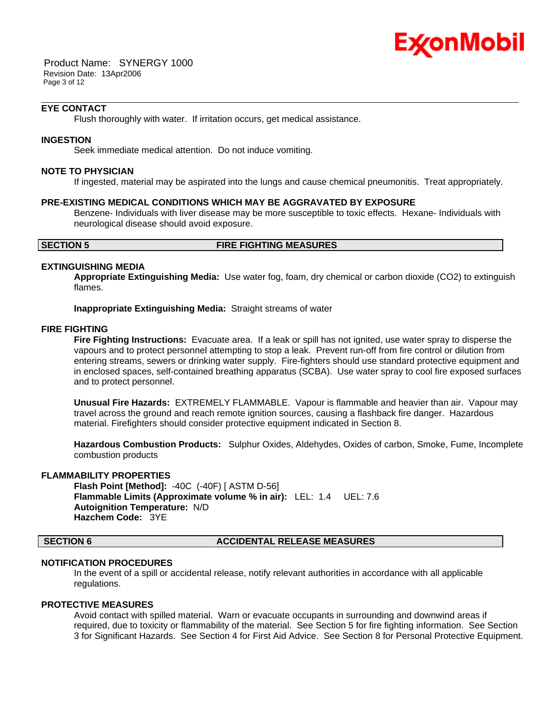

 Product Name: SYNERGY 1000 Revision Date: 13Apr2006 Page 3 of 12

# **EYE CONTACT**

Flush thoroughly with water. If irritation occurs, get medical assistance.

### **INGESTION**

Seek immediate medical attention. Do not induce vomiting.

#### **NOTE TO PHYSICIAN**

If ingested, material may be aspirated into the lungs and cause chemical pneumonitis. Treat appropriately.

\_\_\_\_\_\_\_\_\_\_\_\_\_\_\_\_\_\_\_\_\_\_\_\_\_\_\_\_\_\_\_\_\_\_\_\_\_\_\_\_\_\_\_\_\_\_\_\_\_\_\_\_\_\_\_\_\_\_\_\_\_\_\_\_\_\_\_\_\_\_\_\_\_\_\_\_\_\_\_\_\_\_\_\_\_\_\_\_\_\_\_\_\_\_\_\_\_\_\_\_\_\_\_\_\_\_\_\_\_\_\_\_\_\_\_\_\_\_

#### **PRE-EXISTING MEDICAL CONDITIONS WHICH MAY BE AGGRAVATED BY EXPOSURE**

Benzene- Individuals with liver disease may be more susceptible to toxic effects. Hexane- Individuals with neurological disease should avoid exposure.

#### **SECTION 5 FIRE FIGHTING MEASURES**

# **EXTINGUISHING MEDIA**

**Appropriate Extinguishing Media:** Use water fog, foam, dry chemical or carbon dioxide (CO2) to extinguish flames.

**Inappropriate Extinguishing Media:** Straight streams of water

# **FIRE FIGHTING**

**Fire Fighting Instructions:** Evacuate area. If a leak or spill has not ignited, use water spray to disperse the vapours and to protect personnel attempting to stop a leak. Prevent run-off from fire control or dilution from entering streams, sewers or drinking water supply. Fire-fighters should use standard protective equipment and in enclosed spaces, self-contained breathing apparatus (SCBA). Use water spray to cool fire exposed surfaces and to protect personnel.

**Unusual Fire Hazards:** EXTREMELY FLAMMABLE. Vapour is flammable and heavier than air. Vapour may travel across the ground and reach remote ignition sources, causing a flashback fire danger. Hazardous material. Firefighters should consider protective equipment indicated in Section 8.

**Hazardous Combustion Products:** Sulphur Oxides, Aldehydes, Oxides of carbon, Smoke, Fume, Incomplete combustion products

### **FLAMMABILITY PROPERTIES**

**Flash Point [Method]:** -40C (-40F) [ ASTM D-56] **Flammable Limits (Approximate volume % in air):** LEL: 1.4 UEL: 7.6 **Autoignition Temperature:** N/D **Hazchem Code:** 3YE

#### **SECTION 6 ACCIDENTAL RELEASE MEASURES**

# **NOTIFICATION PROCEDURES**

In the event of a spill or accidental release, notify relevant authorities in accordance with all applicable regulations.

# **PROTECTIVE MEASURES**

Avoid contact with spilled material. Warn or evacuate occupants in surrounding and downwind areas if required, due to toxicity or flammability of the material. See Section 5 for fire fighting information. See Section 3 for Significant Hazards. See Section 4 for First Aid Advice. See Section 8 for Personal Protective Equipment.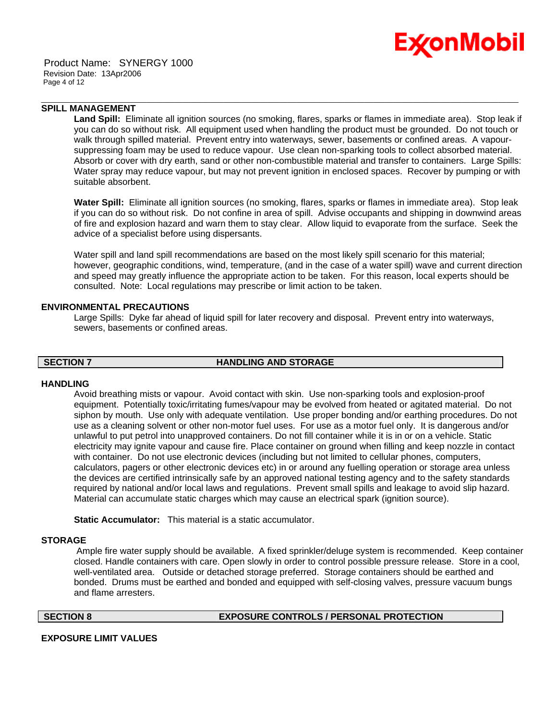



# **SPILL MANAGEMENT**

**Land Spill:** Eliminate all ignition sources (no smoking, flares, sparks or flames in immediate area). Stop leak if you can do so without risk. All equipment used when handling the product must be grounded. Do not touch or walk through spilled material. Prevent entry into waterways, sewer, basements or confined areas. A vapoursuppressing foam may be used to reduce vapour. Use clean non-sparking tools to collect absorbed material. Absorb or cover with dry earth, sand or other non-combustible material and transfer to containers. Large Spills: Water spray may reduce vapour, but may not prevent ignition in enclosed spaces. Recover by pumping or with suitable absorbent.

\_\_\_\_\_\_\_\_\_\_\_\_\_\_\_\_\_\_\_\_\_\_\_\_\_\_\_\_\_\_\_\_\_\_\_\_\_\_\_\_\_\_\_\_\_\_\_\_\_\_\_\_\_\_\_\_\_\_\_\_\_\_\_\_\_\_\_\_\_\_\_\_\_\_\_\_\_\_\_\_\_\_\_\_\_\_\_\_\_\_\_\_\_\_\_\_\_\_\_\_\_\_\_\_\_\_\_\_\_\_\_\_\_\_\_\_\_\_

**Water Spill:** Eliminate all ignition sources (no smoking, flares, sparks or flames in immediate area). Stop leak if you can do so without risk. Do not confine in area of spill. Advise occupants and shipping in downwind areas of fire and explosion hazard and warn them to stay clear. Allow liquid to evaporate from the surface. Seek the advice of a specialist before using dispersants.

Water spill and land spill recommendations are based on the most likely spill scenario for this material; however, geographic conditions, wind, temperature, (and in the case of a water spill) wave and current direction and speed may greatly influence the appropriate action to be taken. For this reason, local experts should be consulted. Note: Local regulations may prescribe or limit action to be taken.

# **ENVIRONMENTAL PRECAUTIONS**

Large Spills: Dyke far ahead of liquid spill for later recovery and disposal. Prevent entry into waterways, sewers, basements or confined areas.

#### **SECTION 7 HANDLING AND STORAGE**

#### **HANDLING**

Avoid breathing mists or vapour. Avoid contact with skin. Use non-sparking tools and explosion-proof equipment. Potentially toxic/irritating fumes/vapour may be evolved from heated or agitated material. Do not siphon by mouth. Use only with adequate ventilation. Use proper bonding and/or earthing procedures. Do not use as a cleaning solvent or other non-motor fuel uses. For use as a motor fuel only. It is dangerous and/or unlawful to put petrol into unapproved containers. Do not fill container while it is in or on a vehicle. Static electricity may ignite vapour and cause fire. Place container on ground when filling and keep nozzle in contact with container. Do not use electronic devices (including but not limited to cellular phones, computers, calculators, pagers or other electronic devices etc) in or around any fuelling operation or storage area unless the devices are certified intrinsically safe by an approved national testing agency and to the safety standards required by national and/or local laws and regulations. Prevent small spills and leakage to avoid slip hazard. Material can accumulate static charges which may cause an electrical spark (ignition source).

**Static Accumulator:** This material is a static accumulator.

#### **STORAGE**

 Ample fire water supply should be available. A fixed sprinkler/deluge system is recommended. Keep container closed. Handle containers with care. Open slowly in order to control possible pressure release. Store in a cool, well-ventilated area. Outside or detached storage preferred. Storage containers should be earthed and bonded. Drums must be earthed and bonded and equipped with self-closing valves, pressure vacuum bungs and flame arresters.

**SECTION 8 EXPOSURE CONTROLS / PERSONAL PROTECTION**

#### **EXPOSURE LIMIT VALUES**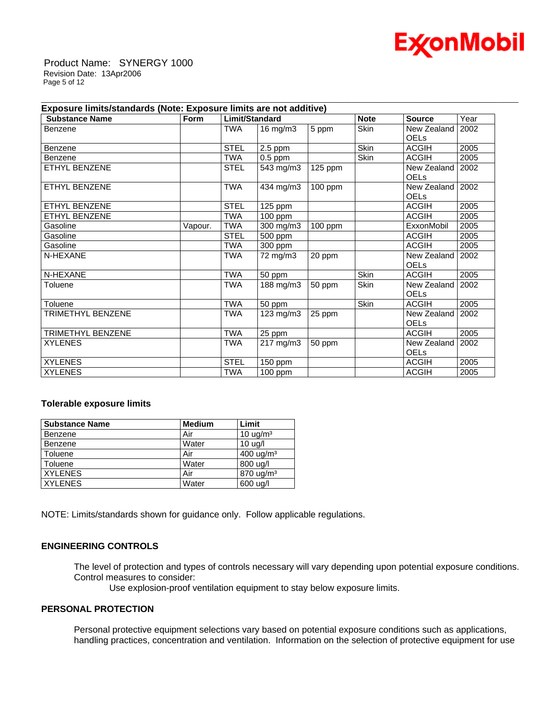

 Product Name: SYNERGY 1000 Revision Date: 13Apr2006 Page 5 of 12

| Exposure limits/standards (Note: Exposure limits are not additive) |             |                |               |         |             |                                   |      |
|--------------------------------------------------------------------|-------------|----------------|---------------|---------|-------------|-----------------------------------|------|
| <b>Substance Name</b>                                              | <b>Form</b> | Limit/Standard |               |         | <b>Note</b> | <b>Source</b>                     | Year |
| Benzene                                                            |             | <b>TWA</b>     | $16$ mg/m $3$ | 5 ppm   | <b>Skin</b> | New Zealand I                     | 2002 |
|                                                                    |             |                |               |         |             | <b>OELS</b>                       |      |
| Benzene                                                            |             | <b>STEL</b>    | $2.5$ ppm     |         | Skin        | <b>ACGIH</b>                      | 2005 |
| Benzene                                                            |             | <b>TWA</b>     | $0.5$ ppm     |         | Skin        | <b>ACGIH</b>                      | 2005 |
| ETHYL BENZENE                                                      |             | <b>STEL</b>    | 543 mg/m3     | 125 ppm |             | New Zealand<br><b>OELs</b>        | 2002 |
| ETHYL BENZENE                                                      |             | <b>TWA</b>     | 434 mg/m3     | 100 ppm |             | New Zealand   2002<br><b>OELs</b> |      |
| ETHYL BENZENE                                                      |             | <b>STEL</b>    | 125 ppm       |         |             | <b>ACGIH</b>                      | 2005 |
| ETHYL BENZENE                                                      |             | <b>TWA</b>     | $100$ ppm     |         |             | <b>ACGIH</b>                      | 2005 |
| Gasoline                                                           | Vapour.     | <b>TWA</b>     | 300 mg/m3     | 100 ppm |             | ExxonMobil                        | 2005 |
| Gasoline                                                           |             | <b>STEL</b>    | 500 ppm       |         |             | <b>ACGIH</b>                      | 2005 |
| Gasoline                                                           |             | <b>TWA</b>     | 300 ppm       |         |             | <b>ACGIH</b>                      | 2005 |
| N-HEXANE                                                           |             | <b>TWA</b>     | 72 mg/m3      | 20 ppm  |             | New Zealand                       | 2002 |
|                                                                    |             |                |               |         |             | <b>OELS</b>                       |      |
| N-HEXANE                                                           |             | <b>TWA</b>     | 50 ppm        |         | Skin        | <b>ACGIH</b>                      | 2005 |
| Toluene                                                            |             | <b>TWA</b>     | 188 mg/m3     | 50 ppm  | Skin        | New Zealand                       | 2002 |
|                                                                    |             |                |               |         |             | <b>OELs</b>                       |      |
| Toluene                                                            |             | <b>TWA</b>     | 50 ppm        |         | Skin        | <b>ACGIH</b>                      | 2005 |
| TRIMETHYL BENZENE                                                  |             | TWA            | 123 mg/m3     | 25 ppm  |             | New Zealand                       | 2002 |
|                                                                    |             |                |               |         |             | <b>OELs</b>                       |      |
| <b>TRIMETHYL BENZENE</b>                                           |             | <b>TWA</b>     | 25 ppm        |         |             | <b>ACGIH</b>                      | 2005 |
| <b>XYLENES</b>                                                     |             | TWA            | 217 mg/m3     | 50 ppm  |             | New Zealand                       | 2002 |
|                                                                    |             |                |               |         |             | <b>OELs</b>                       |      |
| <b>XYLENES</b>                                                     |             | <b>STEL</b>    | 150 ppm       |         |             | <b>ACGIH</b>                      | 2005 |
| <b>XYLENES</b>                                                     |             | <b>TWA</b>     | 100 ppm       |         |             | <b>ACGIH</b>                      | 2005 |

\_\_\_\_\_\_\_\_\_\_\_\_\_\_\_\_\_\_\_\_\_\_\_\_\_\_\_\_\_\_\_\_\_\_\_\_\_\_\_\_\_\_\_\_\_\_\_\_\_\_\_\_\_\_\_\_\_\_\_\_\_\_\_\_\_\_\_\_\_\_\_\_\_\_\_\_\_\_\_\_\_\_\_\_\_\_\_\_\_\_\_\_\_\_\_\_\_\_\_\_\_\_\_\_\_\_\_\_\_\_\_\_\_\_\_\_\_\_

### **Tolerable exposure limits**

| <b>Substance Name</b> | <b>Medium</b> | Limit                 |
|-----------------------|---------------|-----------------------|
| Benzene               | Air           | $10 \text{ uq/m}^3$   |
| Benzene               | Water         | 10 <sub>uq</sub>      |
| Toluene               | Air           | $400 \text{ u}g/m^3$  |
| Toluene               | Water         | 800 ug/l              |
| <b>XYLENES</b>        | Air           | 870 ug/m <sup>3</sup> |
| <b>XYLENES</b>        | Water         | 600 ug/l              |

NOTE: Limits/standards shown for guidance only. Follow applicable regulations.

# **ENGINEERING CONTROLS**

The level of protection and types of controls necessary will vary depending upon potential exposure conditions. Control measures to consider:

Use explosion-proof ventilation equipment to stay below exposure limits.

# **PERSONAL PROTECTION**

Personal protective equipment selections vary based on potential exposure conditions such as applications, handling practices, concentration and ventilation. Information on the selection of protective equipment for use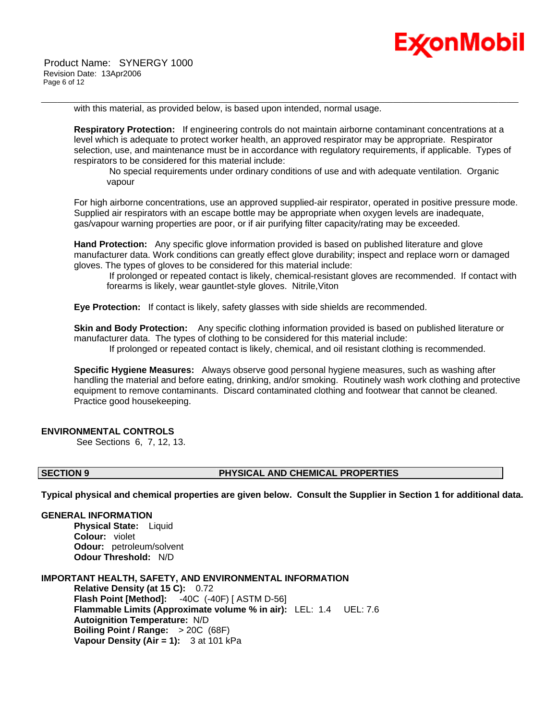

with this material, as provided below, is based upon intended, normal usage.

**Respiratory Protection:** If engineering controls do not maintain airborne contaminant concentrations at a level which is adequate to protect worker health, an approved respirator may be appropriate. Respirator selection, use, and maintenance must be in accordance with regulatory requirements, if applicable. Types of respirators to be considered for this material include:

\_\_\_\_\_\_\_\_\_\_\_\_\_\_\_\_\_\_\_\_\_\_\_\_\_\_\_\_\_\_\_\_\_\_\_\_\_\_\_\_\_\_\_\_\_\_\_\_\_\_\_\_\_\_\_\_\_\_\_\_\_\_\_\_\_\_\_\_\_\_\_\_\_\_\_\_\_\_\_\_\_\_\_\_\_\_\_\_\_\_\_\_\_\_\_\_\_\_\_\_\_\_\_\_\_\_\_\_\_\_\_\_\_\_\_\_\_\_

 No special requirements under ordinary conditions of use and with adequate ventilation. Organic vapour

For high airborne concentrations, use an approved supplied-air respirator, operated in positive pressure mode. Supplied air respirators with an escape bottle may be appropriate when oxygen levels are inadequate, gas/vapour warning properties are poor, or if air purifying filter capacity/rating may be exceeded.

**Hand Protection:** Any specific glove information provided is based on published literature and glove manufacturer data. Work conditions can greatly effect glove durability; inspect and replace worn or damaged gloves. The types of gloves to be considered for this material include:

 If prolonged or repeated contact is likely, chemical-resistant gloves are recommended. If contact with forearms is likely, wear gauntlet-style gloves. Nitrile,Viton

**Eye Protection:** If contact is likely, safety glasses with side shields are recommended.

**Skin and Body Protection:** Any specific clothing information provided is based on published literature or manufacturer data. The types of clothing to be considered for this material include: If prolonged or repeated contact is likely, chemical, and oil resistant clothing is recommended.

**Specific Hygiene Measures:** Always observe good personal hygiene measures, such as washing after handling the material and before eating, drinking, and/or smoking. Routinely wash work clothing and protective equipment to remove contaminants. Discard contaminated clothing and footwear that cannot be cleaned. Practice good housekeeping.

# **ENVIRONMENTAL CONTROLS**

See Sections 6, 7, 12, 13.

#### **SECTION 9 PHYSICAL AND CHEMICAL PROPERTIES**

**Typical physical and chemical properties are given below. Consult the Supplier in Section 1 for additional data.**

#### **GENERAL INFORMATION**

**Physical State:** Liquid **Colour:** violet **Odour:** petroleum/solvent **Odour Threshold:** N/D

#### **IMPORTANT HEALTH, SAFETY, AND ENVIRONMENTAL INFORMATION**

**Relative Density (at 15 C):** 0.72 **Flash Point [Method]:** -40C (-40F) [ ASTM D-56] **Flammable Limits (Approximate volume % in air):** LEL: 1.4 UEL: 7.6 **Autoignition Temperature:** N/D **Boiling Point / Range:** > 20C (68F) **Vapour Density (Air = 1):** 3 at 101 kPa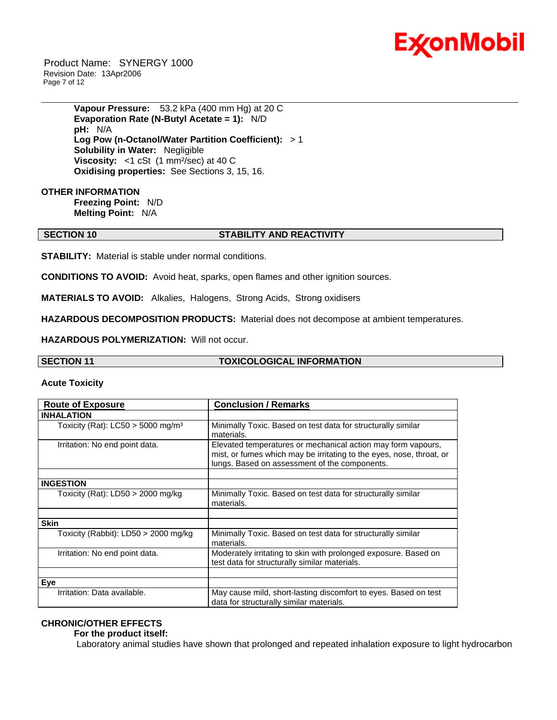

 Product Name: SYNERGY 1000 Revision Date: 13Apr2006 Page 7 of 12

> **Vapour Pressure:** 53.2 kPa (400 mm Hg) at 20 C **Evaporation Rate (N-Butyl Acetate = 1):** N/D **pH:** N/A **Log Pow (n-Octanol/Water Partition Coefficient):** > 1 **Solubility in Water:** Negligible **Viscosity:** <1 cSt (1 mm<sup>2</sup>/sec) at 40 C **Oxidising properties:** See Sections 3, 15, 16.

**OTHER INFORMATION Freezing Point:** N/D **Melting Point:** N/A

# **SECTION 10 STABILITY AND REACTIVITY**

\_\_\_\_\_\_\_\_\_\_\_\_\_\_\_\_\_\_\_\_\_\_\_\_\_\_\_\_\_\_\_\_\_\_\_\_\_\_\_\_\_\_\_\_\_\_\_\_\_\_\_\_\_\_\_\_\_\_\_\_\_\_\_\_\_\_\_\_\_\_\_\_\_\_\_\_\_\_\_\_\_\_\_\_\_\_\_\_\_\_\_\_\_\_\_\_\_\_\_\_\_\_\_\_\_\_\_\_\_\_\_\_\_\_\_\_\_\_

**STABILITY:** Material is stable under normal conditions.

**CONDITIONS TO AVOID:** Avoid heat, sparks, open flames and other ignition sources.

**MATERIALS TO AVOID:** Alkalies, Halogens, Strong Acids, Strong oxidisers

**HAZARDOUS DECOMPOSITION PRODUCTS:** Material does not decompose at ambient temperatures.

**HAZARDOUS POLYMERIZATION:** Will not occur.

| <b>SECTION 11</b> | <b>TOXICOLOGICAL INFORMATION</b> |
|-------------------|----------------------------------|

### **Acute Toxicity**

| <b>Route of Exposure</b>                        | <b>Conclusion / Remarks</b>                                                                                                                                                           |  |  |
|-------------------------------------------------|---------------------------------------------------------------------------------------------------------------------------------------------------------------------------------------|--|--|
| <b>INHALATION</b>                               |                                                                                                                                                                                       |  |  |
| Toxicity (Rat): $LC50 > 5000$ mg/m <sup>3</sup> | Minimally Toxic. Based on test data for structurally similar<br>materials.                                                                                                            |  |  |
| Irritation: No end point data.                  | Elevated temperatures or mechanical action may form vapours,<br>mist, or fumes which may be irritating to the eyes, nose, throat, or<br>lungs. Based on assessment of the components. |  |  |
| <b>INGESTION</b>                                |                                                                                                                                                                                       |  |  |
| Toxicity (Rat): $LD50 > 2000$ mg/kg             | Minimally Toxic. Based on test data for structurally similar<br>materials.                                                                                                            |  |  |
|                                                 |                                                                                                                                                                                       |  |  |
| <b>Skin</b>                                     |                                                                                                                                                                                       |  |  |
| Toxicity (Rabbit): LD50 > 2000 mg/kg            | Minimally Toxic. Based on test data for structurally similar<br>materials.                                                                                                            |  |  |
| Irritation: No end point data.                  | Moderately irritating to skin with prolonged exposure. Based on<br>test data for structurally similar materials.                                                                      |  |  |
|                                                 |                                                                                                                                                                                       |  |  |
| Eve                                             |                                                                                                                                                                                       |  |  |
| Irritation: Data available.                     | May cause mild, short-lasting discomfort to eyes. Based on test<br>data for structurally similar materials.                                                                           |  |  |

# **CHRONIC/OTHER EFFECTS**

 **For the product itself:** 

Laboratory animal studies have shown that prolonged and repeated inhalation exposure to light hydrocarbon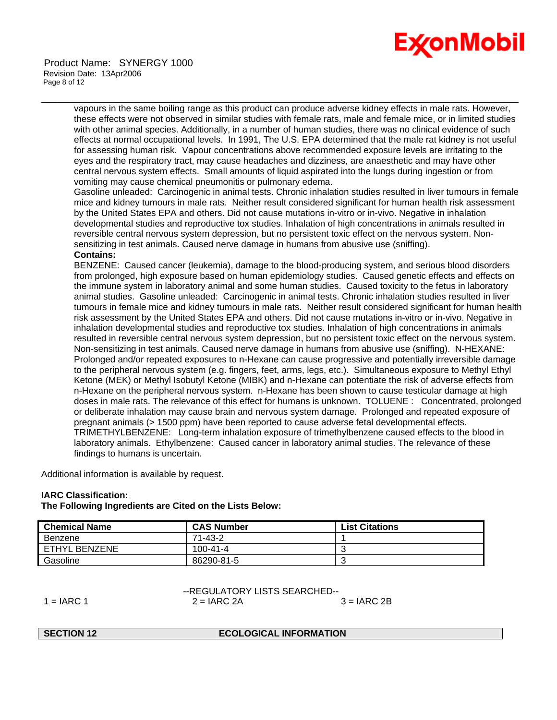

vapours in the same boiling range as this product can produce adverse kidney effects in male rats. However, these effects were not observed in similar studies with female rats, male and female mice, or in limited studies with other animal species. Additionally, in a number of human studies, there was no clinical evidence of such effects at normal occupational levels. In 1991, The U.S. EPA determined that the male rat kidney is not useful for assessing human risk. Vapour concentrations above recommended exposure levels are irritating to the eyes and the respiratory tract, may cause headaches and dizziness, are anaesthetic and may have other central nervous system effects. Small amounts of liquid aspirated into the lungs during ingestion or from vomiting may cause chemical pneumonitis or pulmonary edema.

\_\_\_\_\_\_\_\_\_\_\_\_\_\_\_\_\_\_\_\_\_\_\_\_\_\_\_\_\_\_\_\_\_\_\_\_\_\_\_\_\_\_\_\_\_\_\_\_\_\_\_\_\_\_\_\_\_\_\_\_\_\_\_\_\_\_\_\_\_\_\_\_\_\_\_\_\_\_\_\_\_\_\_\_\_\_\_\_\_\_\_\_\_\_\_\_\_\_\_\_\_\_\_\_\_\_\_\_\_\_\_\_\_\_\_\_\_\_

Gasoline unleaded: Carcinogenic in animal tests. Chronic inhalation studies resulted in liver tumours in female mice and kidney tumours in male rats. Neither result considered significant for human health risk assessment by the United States EPA and others. Did not cause mutations in-vitro or in-vivo. Negative in inhalation developmental studies and reproductive tox studies. Inhalation of high concentrations in animals resulted in reversible central nervous system depression, but no persistent toxic effect on the nervous system. Nonsensitizing in test animals. Caused nerve damage in humans from abusive use (sniffing).

# **Contains:**

BENZENE: Caused cancer (leukemia), damage to the blood-producing system, and serious blood disorders from prolonged, high exposure based on human epidemiology studies. Caused genetic effects and effects on the immune system in laboratory animal and some human studies. Caused toxicity to the fetus in laboratory animal studies. Gasoline unleaded: Carcinogenic in animal tests. Chronic inhalation studies resulted in liver tumours in female mice and kidney tumours in male rats. Neither result considered significant for human health risk assessment by the United States EPA and others. Did not cause mutations in-vitro or in-vivo. Negative in inhalation developmental studies and reproductive tox studies. Inhalation of high concentrations in animals resulted in reversible central nervous system depression, but no persistent toxic effect on the nervous system. Non-sensitizing in test animals. Caused nerve damage in humans from abusive use (sniffing). N-HEXANE: Prolonged and/or repeated exposures to n-Hexane can cause progressive and potentially irreversible damage to the peripheral nervous system (e.g. fingers, feet, arms, legs, etc.). Simultaneous exposure to Methyl Ethyl Ketone (MEK) or Methyl Isobutyl Ketone (MIBK) and n-Hexane can potentiate the risk of adverse effects from n-Hexane on the peripheral nervous system. n-Hexane has been shown to cause testicular damage at high doses in male rats. The relevance of this effect for humans is unknown. TOLUENE : Concentrated, prolonged or deliberate inhalation may cause brain and nervous system damage. Prolonged and repeated exposure of pregnant animals (> 1500 ppm) have been reported to cause adverse fetal developmental effects. TRIMETHYLBENZENE: Long-term inhalation exposure of trimethylbenzene caused effects to the blood in laboratory animals. Ethylbenzene: Caused cancer in laboratory animal studies. The relevance of these findings to humans is uncertain.

Additional information is available by request.

# **IARC Classification:**

# **The Following Ingredients are Cited on the Lists Below:**

| <b>Chemical Name</b> | <b>CAS Number</b> | <b>List Citations</b> |
|----------------------|-------------------|-----------------------|
| Benzene              | 71-43-2           |                       |
| ETHYL BENZENE        | $100 - 41 - 4$    |                       |
| Gasoline             | 86290-81-5        |                       |

DECULATORY LISTS SEARCHED

|              | FINLOULATUINT LIOTO OLAINOITEDFF |               |  |  |
|--------------|----------------------------------|---------------|--|--|
| $1 = IARC 1$ | $2 = IARC 2A$                    | $3 = IARC 2B$ |  |  |

#### **ECOLOGICAL INFORMATION**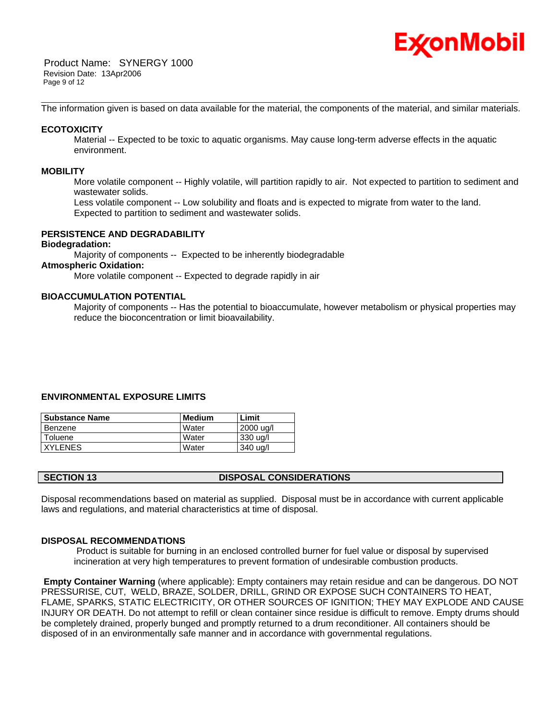

 Product Name: SYNERGY 1000 Revision Date: 13Apr2006 Page 9 of 12

\_\_\_\_\_\_\_\_\_\_\_\_\_\_\_\_\_\_\_\_\_\_\_\_\_\_\_\_\_\_\_\_\_\_\_\_\_\_\_\_\_\_\_\_\_\_\_\_\_\_\_\_\_\_\_\_\_\_\_\_\_\_\_\_\_\_\_\_\_\_\_\_\_\_\_\_\_\_\_\_\_\_\_\_\_\_\_\_\_\_\_\_\_\_\_\_\_\_\_\_\_\_\_\_\_\_\_\_\_\_\_\_\_\_\_\_\_\_ The information given is based on data available for the material, the components of the material, and similar materials.

# **ECOTOXICITY**

 Material -- Expected to be toxic to aquatic organisms. May cause long-term adverse effects in the aquatic environment.

### **MOBILITY**

 More volatile component -- Highly volatile, will partition rapidly to air. Not expected to partition to sediment and wastewater solids.

 Less volatile component -- Low solubility and floats and is expected to migrate from water to the land. Expected to partition to sediment and wastewater solids.

# **PERSISTENCE AND DEGRADABILITY**

# **Biodegradation:**

Majority of components -- Expected to be inherently biodegradable

#### **Atmospheric Oxidation:**

More volatile component -- Expected to degrade rapidly in air

# **BIOACCUMULATION POTENTIAL**

 Majority of components -- Has the potential to bioaccumulate, however metabolism or physical properties may reduce the bioconcentration or limit bioavailability.

# **ENVIRONMENTAL EXPOSURE LIMITS**

| <b>Substance Name</b> | Medium       | Limit     |
|-----------------------|--------------|-----------|
| Benzene               | Water        | 2000 ug/l |
| Toluene               | <b>Water</b> | 330 ug/l  |
| <b>XYLENES</b>        | Water        | 340 ug/l  |

Disposal recommendations based on material as supplied. Disposal must be in accordance with current applicable laws and regulations, and material characteristics at time of disposal.

### **DISPOSAL RECOMMENDATIONS**

 Product is suitable for burning in an enclosed controlled burner for fuel value or disposal by supervised incineration at very high temperatures to prevent formation of undesirable combustion products.

**Empty Container Warning** (where applicable): Empty containers may retain residue and can be dangerous. DO NOT PRESSURISE, CUT, WELD, BRAZE, SOLDER, DRILL, GRIND OR EXPOSE SUCH CONTAINERS TO HEAT, FLAME, SPARKS, STATIC ELECTRICITY, OR OTHER SOURCES OF IGNITION; THEY MAY EXPLODE AND CAUSE INJURY OR DEATH. Do not attempt to refill or clean container since residue is difficult to remove. Empty drums should be completely drained, properly bunged and promptly returned to a drum reconditioner. All containers should be disposed of in an environmentally safe manner and in accordance with governmental regulations.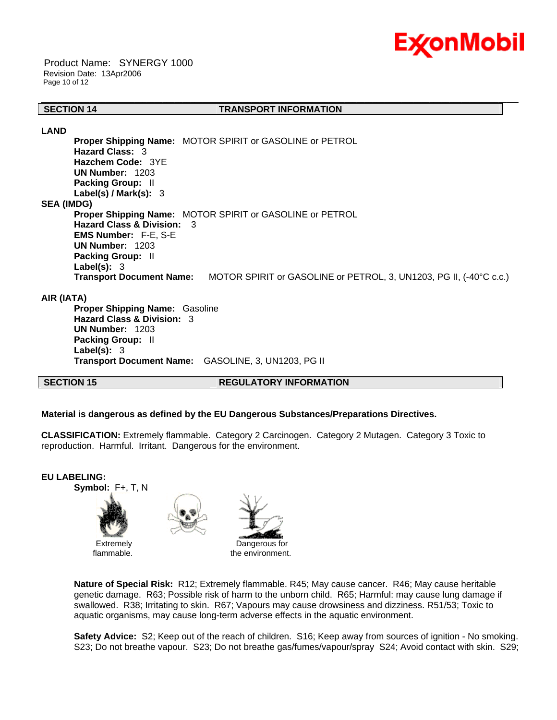

 Product Name: SYNERGY 1000 Revision Date: 13Apr2006 Page 10 of 12

#### \_\_\_\_\_\_\_\_\_\_\_\_\_\_\_\_\_\_\_\_\_\_\_\_\_\_\_\_\_\_\_\_\_\_\_\_\_\_\_\_\_\_\_\_\_\_\_\_\_\_\_\_\_\_\_\_\_\_\_\_\_\_\_\_\_\_\_\_\_\_\_\_\_\_\_\_\_\_\_\_\_\_\_\_\_\_\_\_\_\_\_\_\_\_\_\_\_\_\_\_\_\_\_\_\_\_\_\_\_\_\_\_\_\_\_\_\_\_ **SECTION 14 TRANSPORT INFORMATION**

**LAND**

**Proper Shipping Name:** MOTOR SPIRIT or GASOLINE or PETROL **Hazard Class:** 3 **Hazchem Code:** 3YE **UN Number:** 1203 **Packing Group:** II **Label(s) / Mark(s):** 3 **SEA (IMDG) Proper Shipping Name:** MOTOR SPIRIT or GASOLINE or PETROL **Hazard Class & Division:** 3 **EMS Number:** F-E, S-E **UN Number:** 1203 **Packing Group:** II **Label(s):** 3 **Transport Document Name:** MOTOR SPIRIT or GASOLINE or PETROL, 3, UN1203, PG II, (-40°C c.c.)

### **AIR (IATA)**

**Proper Shipping Name:** Gasoline **Hazard Class & Division:** 3 **UN Number:** 1203 **Packing Group:** II **Label(s):** 3 **Transport Document Name:** GASOLINE, 3, UN1203, PG II

# **SECTION 15 REGULATORY INFORMATION**

# **Material is dangerous as defined by the EU Dangerous Substances/Preparations Directives.**

**CLASSIFICATION:** Extremely flammable. Category 2 Carcinogen. Category 2 Mutagen. Category 3 Toxic to reproduction. Harmful. Irritant. Dangerous for the environment.



flammable.

the environment.

**Nature of Special Risk:** R12; Extremely flammable. R45; May cause cancer. R46; May cause heritable genetic damage. R63; Possible risk of harm to the unborn child. R65; Harmful: may cause lung damage if swallowed. R38; Irritating to skin. R67; Vapours may cause drowsiness and dizziness. R51/53; Toxic to aquatic organisms, may cause long-term adverse effects in the aquatic environment.

**Safety Advice:** S2; Keep out of the reach of children. S16; Keep away from sources of ignition - No smoking. S23; Do not breathe vapour. S23; Do not breathe gas/fumes/vapour/spray S24; Avoid contact with skin. S29;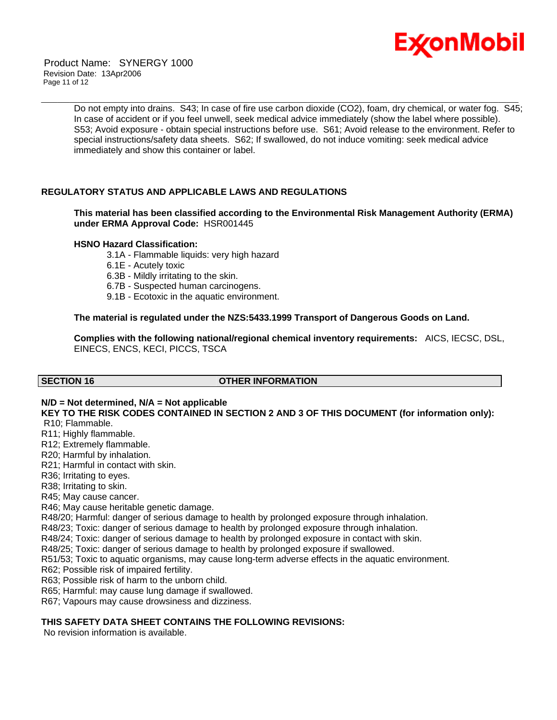

 Product Name: SYNERGY 1000 Revision Date: 13Apr2006 Page 11 of 12

> Do not empty into drains. S43; In case of fire use carbon dioxide (CO2), foam, dry chemical, or water fog. S45; In case of accident or if you feel unwell, seek medical advice immediately (show the label where possible). S53; Avoid exposure - obtain special instructions before use. S61; Avoid release to the environment. Refer to special instructions/safety data sheets. S62; If swallowed, do not induce vomiting: seek medical advice immediately and show this container or label.

\_\_\_\_\_\_\_\_\_\_\_\_\_\_\_\_\_\_\_\_\_\_\_\_\_\_\_\_\_\_\_\_\_\_\_\_\_\_\_\_\_\_\_\_\_\_\_\_\_\_\_\_\_\_\_\_\_\_\_\_\_\_\_\_\_\_\_\_\_\_\_\_\_\_\_\_\_\_\_\_\_\_\_\_\_\_\_\_\_\_\_\_\_\_\_\_\_\_\_\_\_\_\_\_\_\_\_\_\_\_\_\_\_\_\_\_\_\_

# **REGULATORY STATUS AND APPLICABLE LAWS AND REGULATIONS**

**This material has been classified according to the Environmental Risk Management Authority (ERMA) under ERMA Approval Code:** HSR001445

### **HSNO Hazard Classification:**

- 3.1A Flammable liquids: very high hazard
- 6.1E Acutely toxic
- 6.3B Mildly irritating to the skin.
- 6.7B Suspected human carcinogens.
- 9.1B Ecotoxic in the aquatic environment.

### **The material is regulated under the NZS:5433.1999 Transport of Dangerous Goods on Land.**

**Complies with the following national/regional chemical inventory requirements:** AICS, IECSC, DSL, EINECS, ENCS, KECI, PICCS, TSCA

# **SECTION 16 OTHER INFORMATION**

# **N/D = Not determined, N/A = Not applicable**

**KEY TO THE RISK CODES CONTAINED IN SECTION 2 AND 3 OF THIS DOCUMENT (for information only):** R10; Flammable.

R11; Highly flammable.

- R12; Extremely flammable.
- R20; Harmful by inhalation.
- R21; Harmful in contact with skin.
- R36; Irritating to eyes.

R38; Irritating to skin.

R45; May cause cancer.

R46; May cause heritable genetic damage.

R48/20; Harmful: danger of serious damage to health by prolonged exposure through inhalation.

R48/23; Toxic: danger of serious damage to health by prolonged exposure through inhalation.

R48/24; Toxic: danger of serious damage to health by prolonged exposure in contact with skin.

R48/25; Toxic: danger of serious damage to health by prolonged exposure if swallowed.

R51/53; Toxic to aquatic organisms, may cause long-term adverse effects in the aquatic environment.

R62; Possible risk of impaired fertility.

R63; Possible risk of harm to the unborn child.

R65; Harmful: may cause lung damage if swallowed.

R67; Vapours may cause drowsiness and dizziness.

# **THIS SAFETY DATA SHEET CONTAINS THE FOLLOWING REVISIONS:**

No revision information is available.